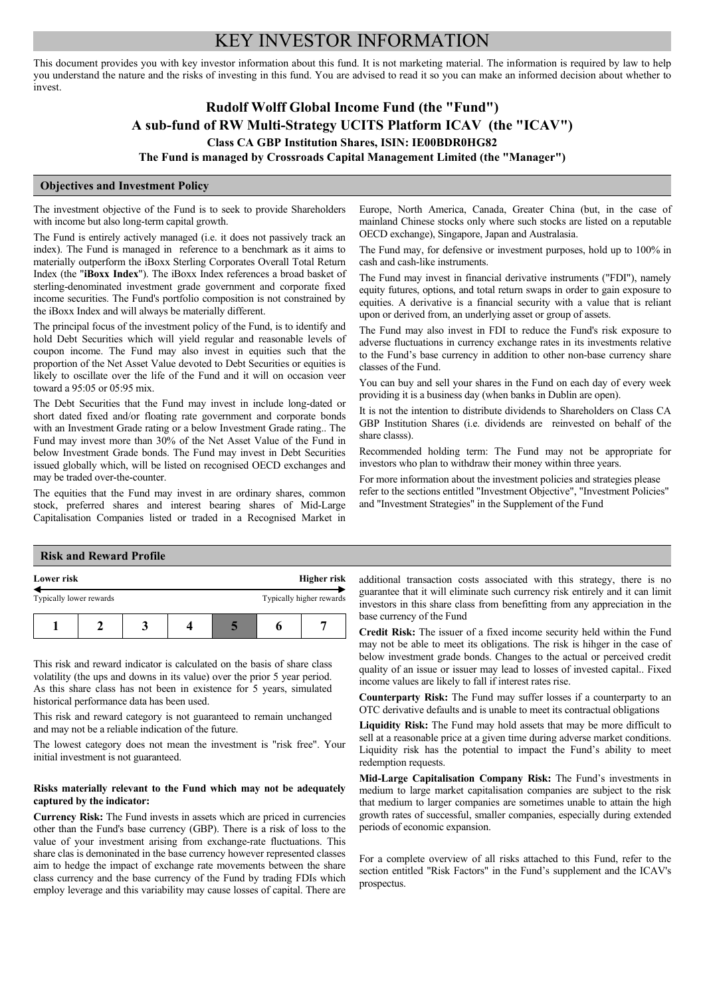# KEY INVESTOR INFORMATION

This document provides you with key investor information about this fund. It is not marketing material. The information is required by law to help you understand the nature and the risks of investing in this fund. You are advised to read it so you can make an informed decision about whether to invest.

# **Rudolf Wolff Global Income Fund (the "Fund") A sub-fund of RW Multi-Strategy UCITS Platform ICAV (the "ICAV") Class CA GBP Institution Shares, ISIN: IE00BDR0HG82**

**The Fund is managed by Crossroads Capital Management Limited (the "Manager")** 

## **Objectives and Investment Policy**

The investment objective of the Fund is to seek to provide Shareholders with income but also long-term capital growth.

The Fund is entirely actively managed (i.e. it does not passively track an index). The Fund is managed in reference to a benchmark as it aims to materially outperform the iBoxx Sterling Corporates Overall Total Return Index (the "**iBoxx Index**"). The iBoxx Index references a broad basket of sterling-denominated investment grade government and corporate fixed income securities. The Fund's portfolio composition is not constrained by the iBoxx Index and will always be materially different.

The principal focus of the investment policy of the Fund, is to identify and hold Debt Securities which will yield regular and reasonable levels of coupon income. The Fund may also invest in equities such that the proportion of the Net Asset Value devoted to Debt Securities or equities is likely to oscillate over the life of the Fund and it will on occasion veer toward a 95:05 or 05:95 mix.

The Debt Securities that the Fund may invest in include long-dated or short dated fixed and/or floating rate government and corporate bonds with an Investment Grade rating or a below Investment Grade rating.. The Fund may invest more than 30% of the Net Asset Value of the Fund in below Investment Grade bonds. The Fund may invest in Debt Securities issued globally which, will be listed on recognised OECD exchanges and may be traded over-the-counter.

The equities that the Fund may invest in are ordinary shares, common stock, preferred shares and interest bearing shares of Mid-Large Capitalisation Companies listed or traded in a Recognised Market in Europe, North America, Canada, Greater China (but, in the case of mainland Chinese stocks only where such stocks are listed on a reputable OECD exchange), Singapore, Japan and Australasia.

The Fund may, for defensive or investment purposes, hold up to 100% in cash and cash-like instruments.

The Fund may invest in financial derivative instruments ("FDI"), namely equity futures, options, and total return swaps in order to gain exposure to equities. A derivative is a financial security with a value that is reliant upon or derived from, an underlying asset or group of assets.

The Fund may also invest in FDI to reduce the Fund's risk exposure to adverse fluctuations in currency exchange rates in its investments relative to the Fund's base currency in addition to other non-base currency share classes of the Fund.

You can buy and sell your shares in the Fund on each day of every week providing it is a business day (when banks in Dublin are open).

It is not the intention to distribute dividends to Shareholders on Class CA GBP Institution Shares (i.e. dividends are reinvested on behalf of the share classs).

Recommended holding term: The Fund may not be appropriate for investors who plan to withdraw their money within three years.

For more information about the investment policies and strategies please refer to the sections entitled "Investment Objective", "Investment Policies" and "Investment Strategies" in the Supplement of the Fund

#### **Risk and Reward Profile**

| Lower risk              |  | Higher risk              |  |  |  |
|-------------------------|--|--------------------------|--|--|--|
| Typically lower rewards |  | Typically higher rewards |  |  |  |
|                         |  |                          |  |  |  |

This risk and reward indicator is calculated on the basis of share class volatility (the ups and downs in its value) over the prior 5 year period. As this share class has not been in existence for 5 years, simulated historical performance data has been used.

This risk and reward category is not guaranteed to remain unchanged and may not be a reliable indication of the future.

The lowest category does not mean the investment is "risk free". Your initial investment is not guaranteed.

## **Risks materially relevant to the Fund which may not be adequately captured by the indicator:**

**Currency Risk:** The Fund invests in assets which are priced in currencies other than the Fund's base currency (GBP). There is a risk of loss to the value of your investment arising from exchange-rate fluctuations. This share clas is demoninated in the base currency however represented classes aim to hedge the impact of exchange rate movements between the share class currency and the base currency of the Fund by trading FDIs which employ leverage and this variability may cause losses of capital. There are

additional transaction costs associated with this strategy, there is no guarantee that it will eliminate such currency risk entirely and it can limit investors in this share class from benefitting from any appreciation in the base currency of the Fund

**Credit Risk:** The issuer of a fixed income security held within the Fund may not be able to meet its obligations. The risk is hihger in the case of below investment grade bonds. Changes to the actual or perceived credit quality of an issue or issuer may lead to losses of invested capital.. Fixed income values are likely to fall if interest rates rise.

**Counterparty Risk:** The Fund may suffer losses if a counterparty to an OTC derivative defaults and is unable to meet its contractual obligations

**Liquidity Risk:** The Fund may hold assets that may be more difficult to sell at a reasonable price at a given time during adverse market conditions. Liquidity risk has the potential to impact the Fund's ability to meet redemption requests.

**Mid-Large Capitalisation Company Risk:** The Fund's investments in medium to large market capitalisation companies are subject to the risk that medium to larger companies are sometimes unable to attain the high growth rates of successful, smaller companies, especially during extended periods of economic expansion.

For a complete overview of all risks attached to this Fund, refer to the section entitled "Risk Factors" in the Fund's supplement and the ICAV's prospectus.